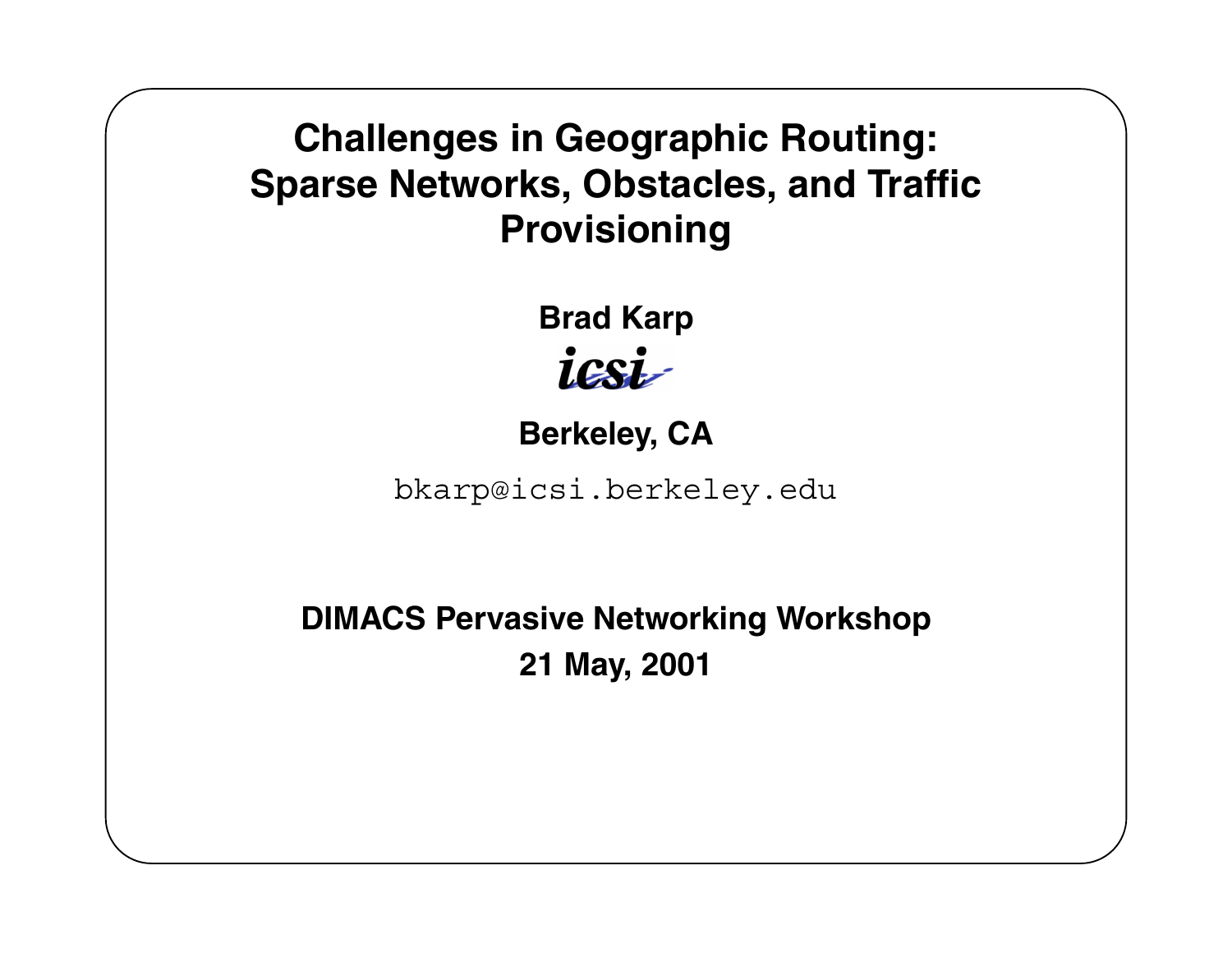### **Challenges in Geographic Routing: Sparse Networks, Obstacles, and Traffic Provisioning**

**Brad Karp** icsi

**Berkeley, CA**

bkarp@icsi.berkeley.edu

**DIMACS Pervasive Networking Workshop 21 May, 2001**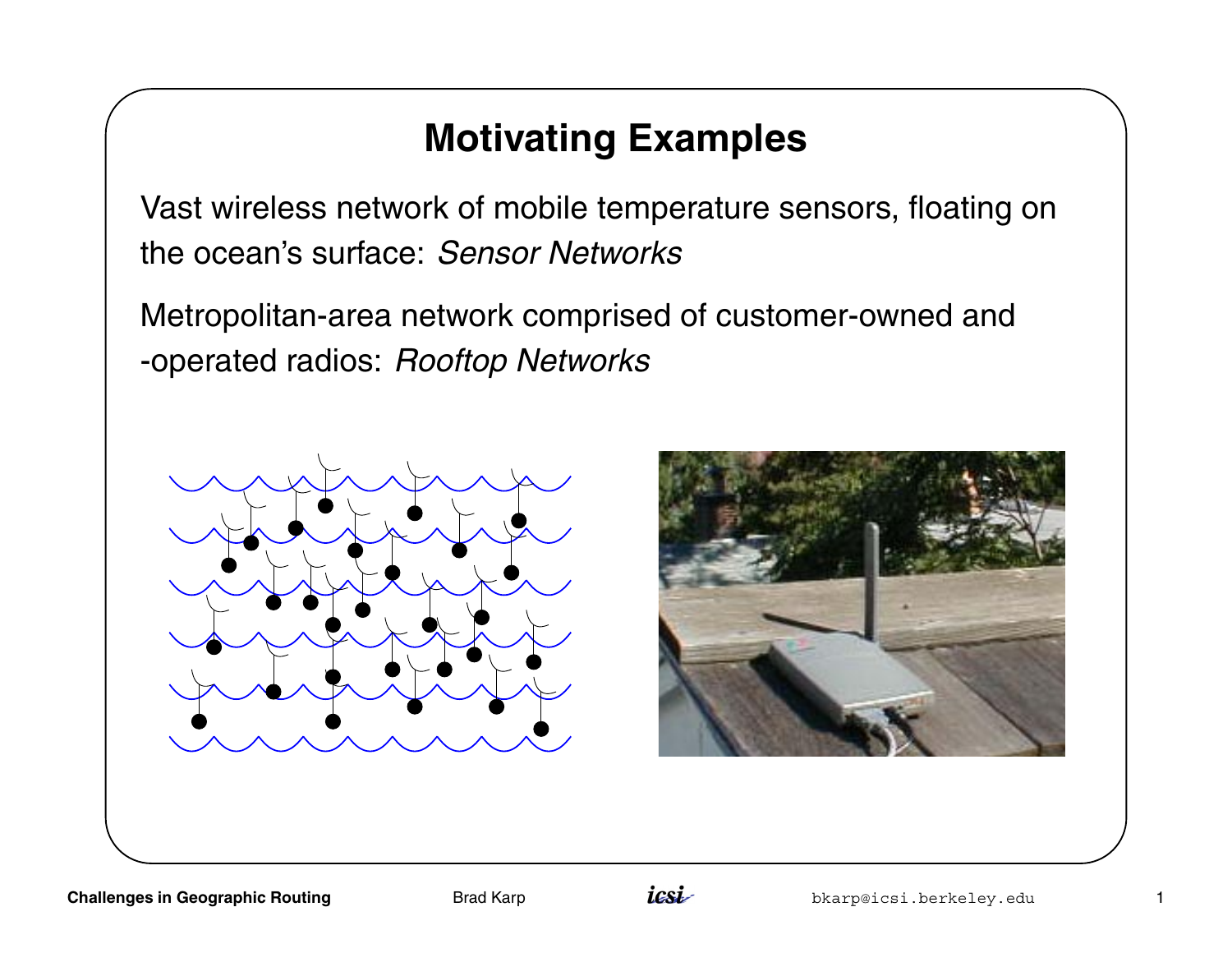### **Motivating Examples**

Vast wireless network of mobile temperature sensors, floating on the ocean's surface: Sensor Networks

Metropolitan-area network comprised of customer-owned and -operated radios: Rooftop Networks





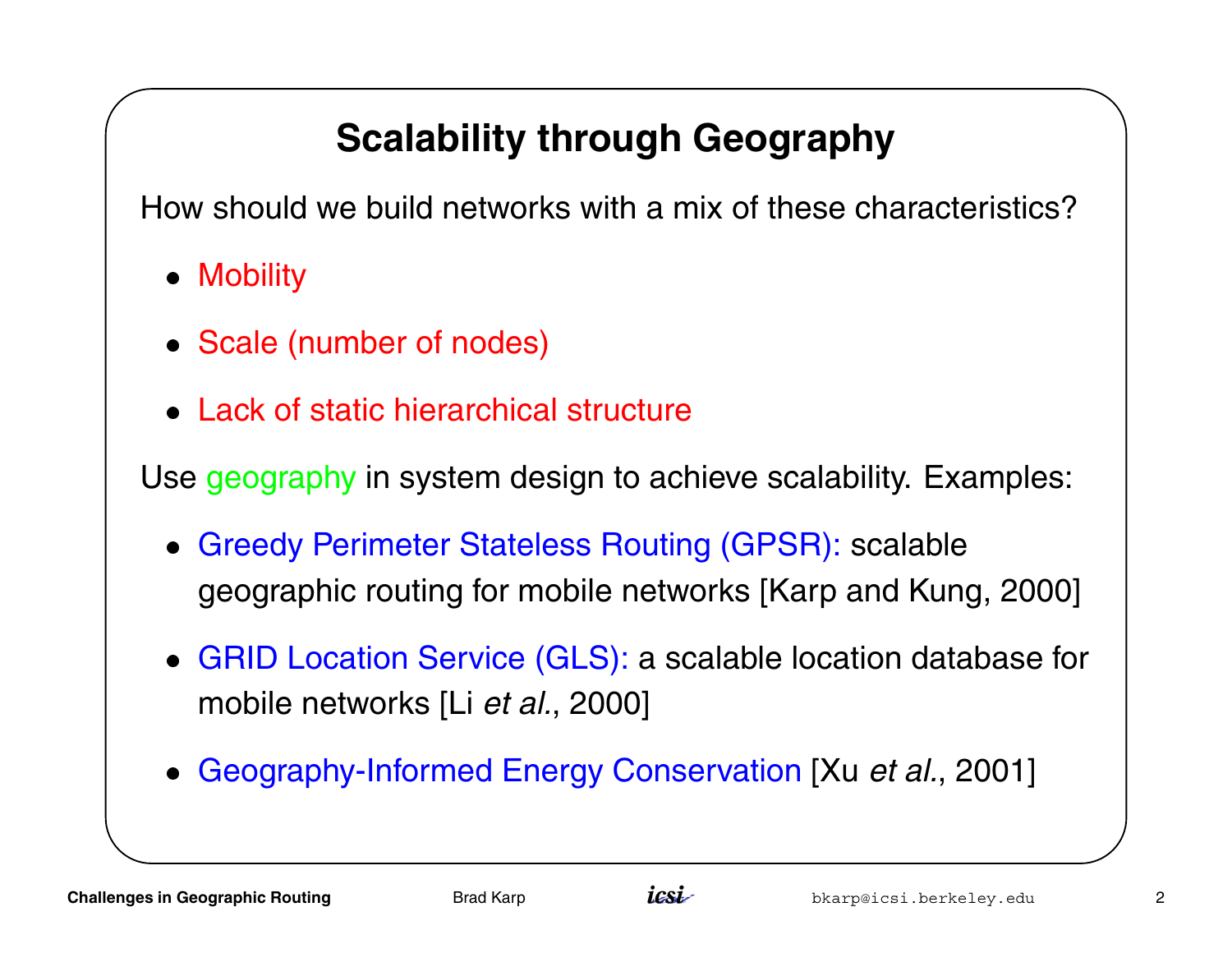## **Scalability through Geography**

How should we build networks with a mix of these characteristics?

- Mobility
- Mobility<br>• Scale (number of nodes)
- **Scale (number of nodes)<br>• Lack of static hierarchical structure**

Use geography in system design to achieve scalability. Examples:

- Greedy Perimeter Stateless Routing (GPSR): scalable geographic routing for mobile networks [Karp and Kung, 2000]
- GRID Location Service (GLS): <sup>a</sup> scalable location database for mobile networks [Li et al., 2000]
- Geography-Informed Energy Conservation [Xu et al., 2001]

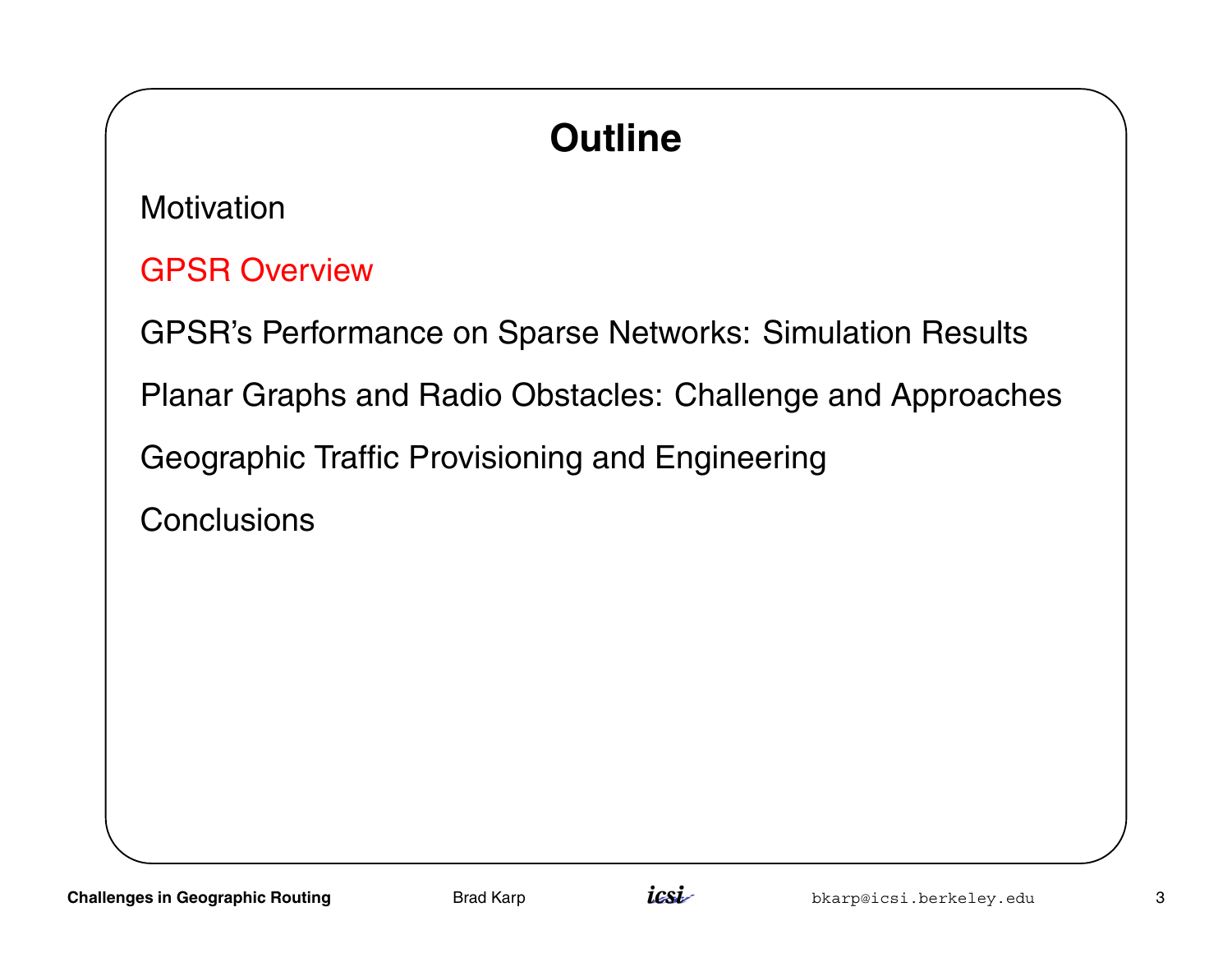# **Outline**

**Motivation** 

GPSR Overview

GPSR's Performance on Sparse Networks: Simulation Results

Planar Graphs and Radio Obstacles: Challenge and Approaches

Geographic Traffic Provisioning and Engineering

**Conclusions** 

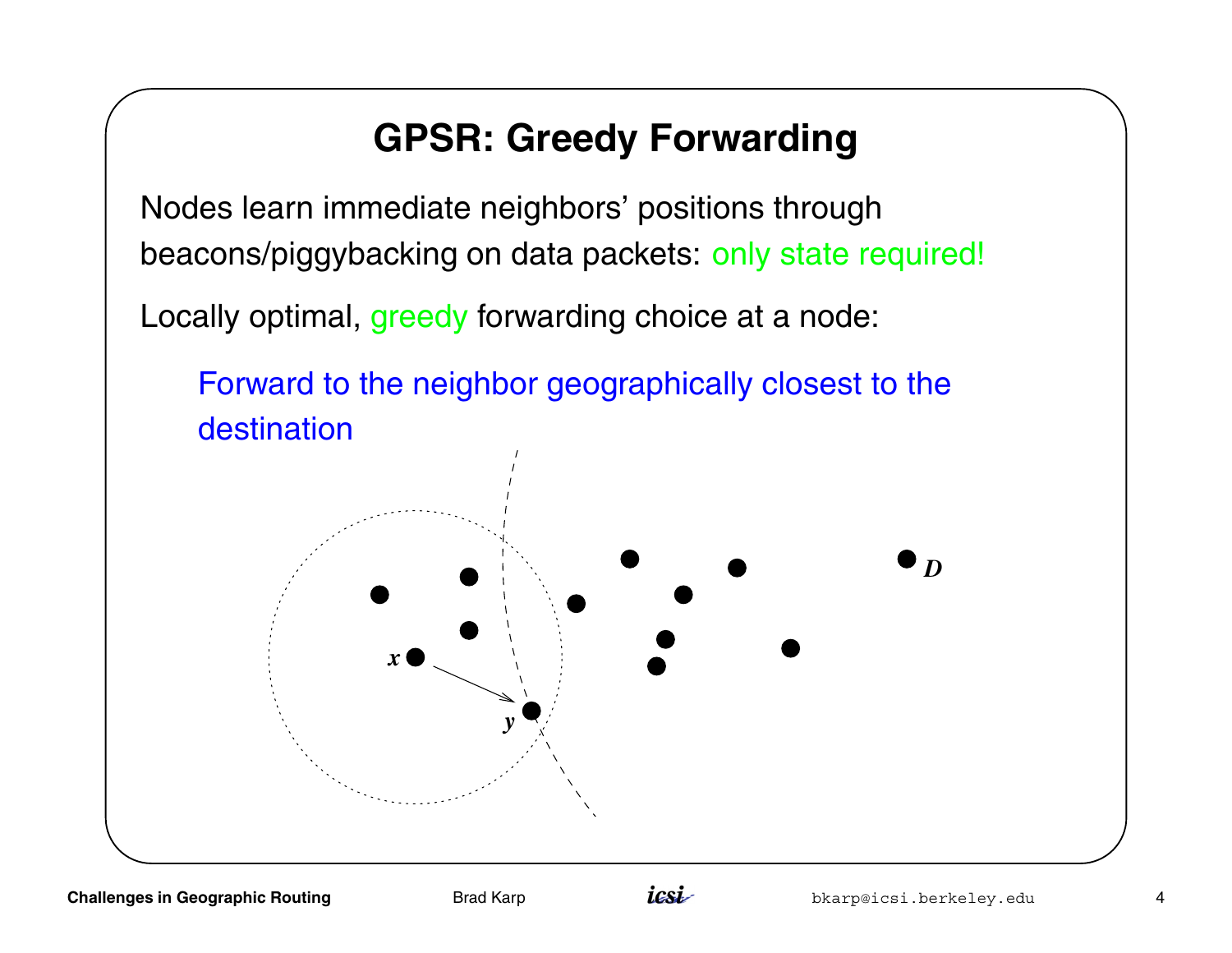### **GPSR: Greedy Forwarding**

Nodes learn immediate neighbors' positions through beacons/piggybacking on data packets: only state required!

Locally optimal, greedy forwarding choice at <sup>a</sup> node:



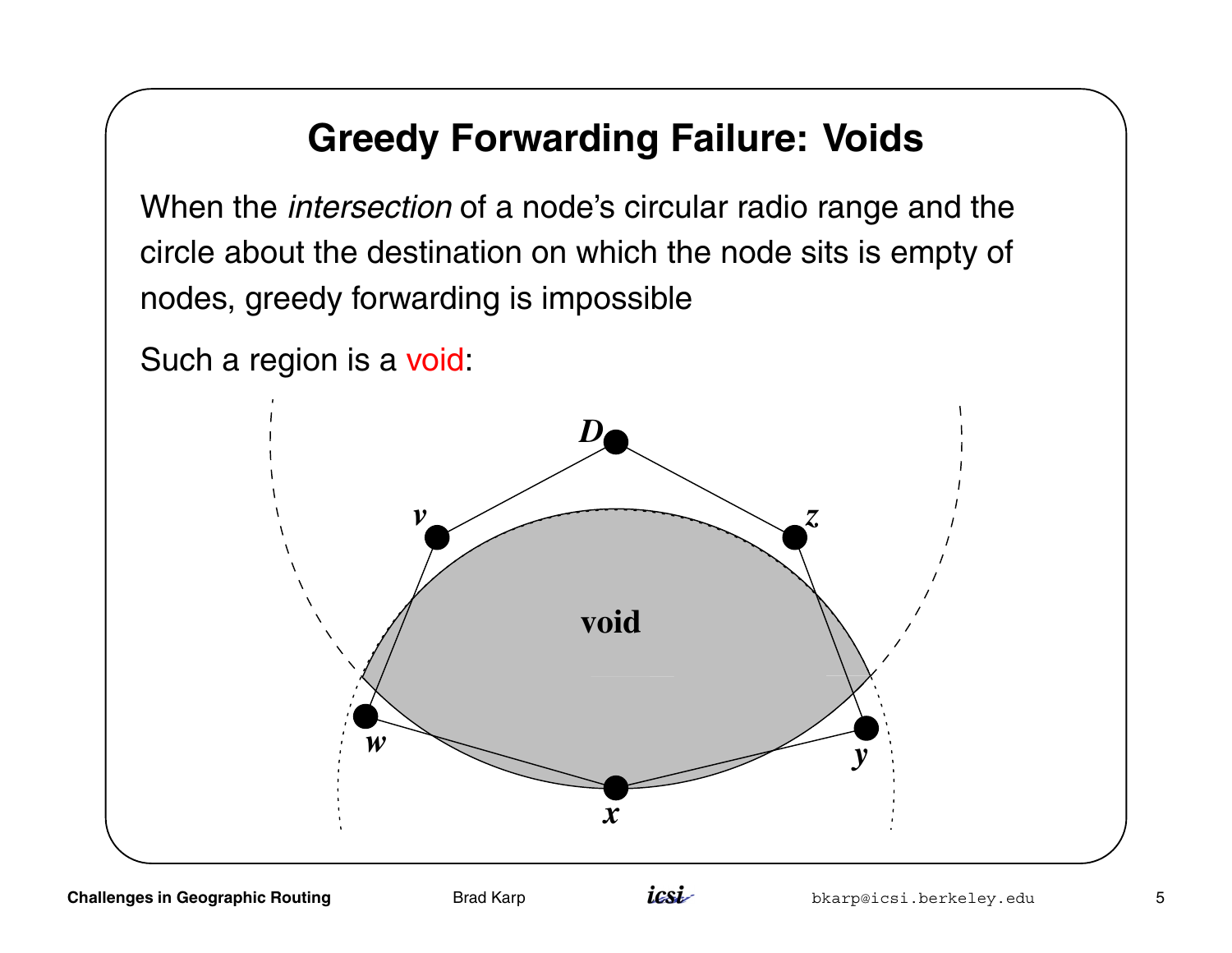### **Greedy Forwarding Failure: Voids**

When the *intersection* of a node's circular radio range and the circle about the destination on which the node sits is empty of nodes, greedy forwarding is impossible

Such <sup>a</sup> region is <sup>a</sup> void:



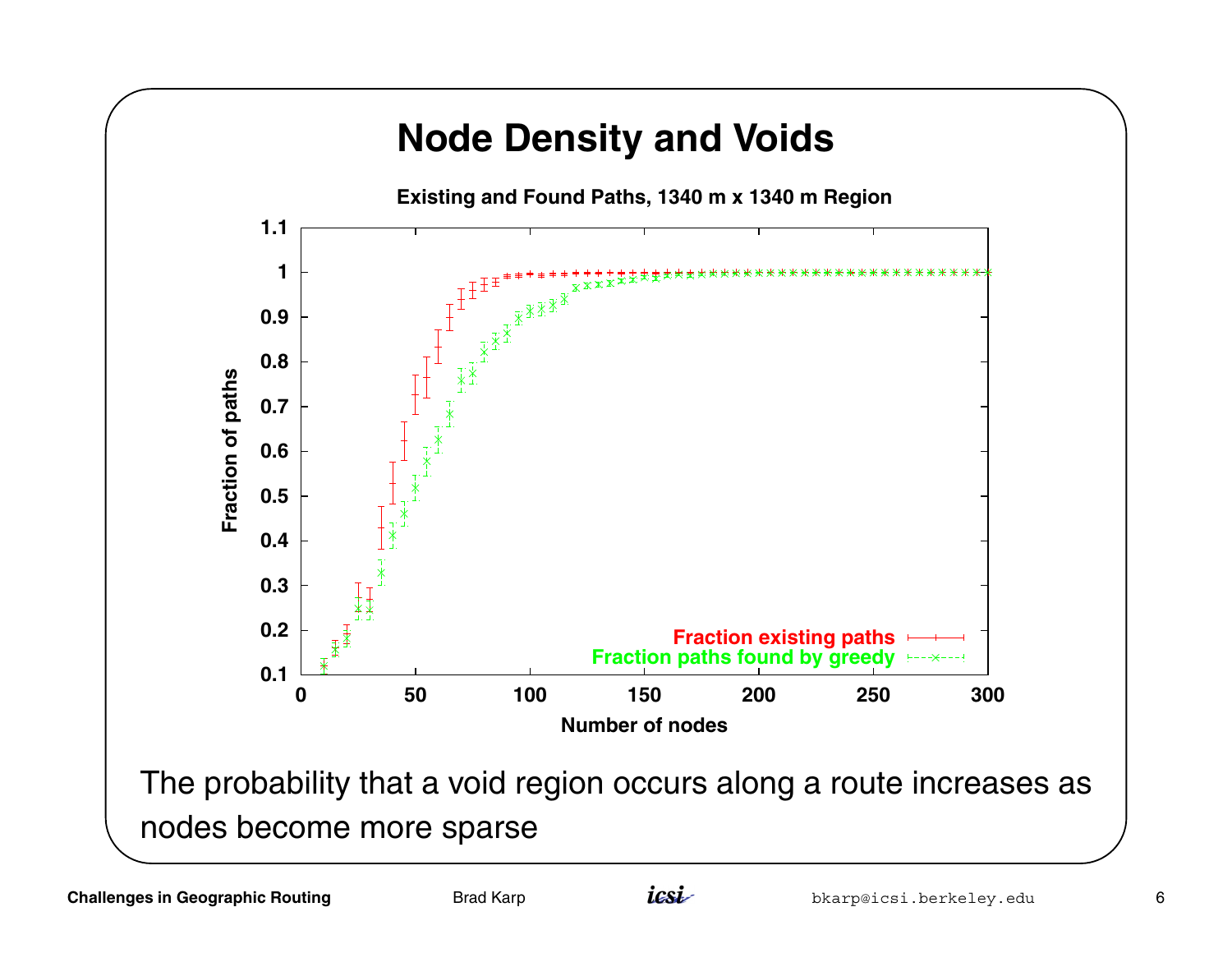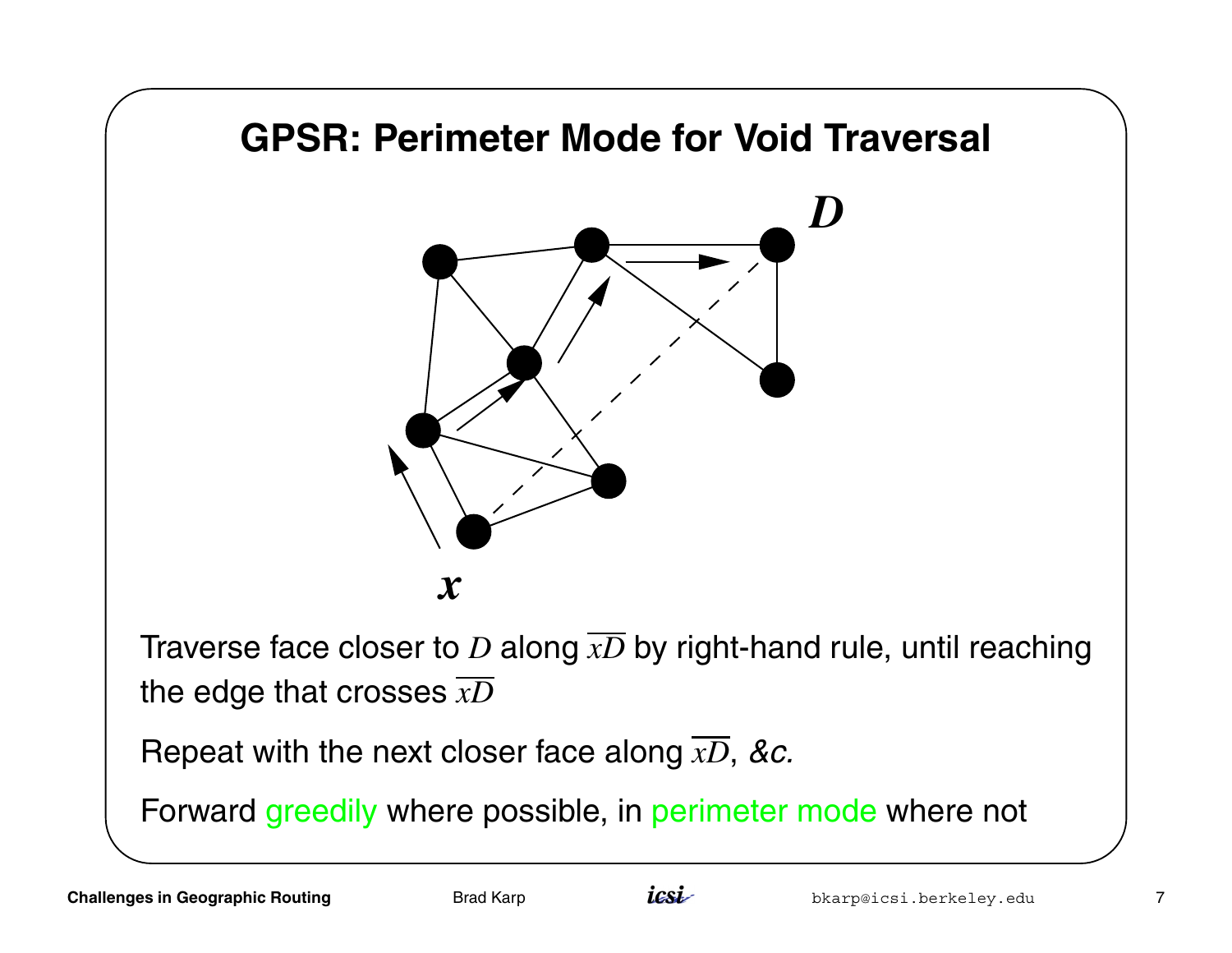

Forward greedily where possible, in perimeter mode where not

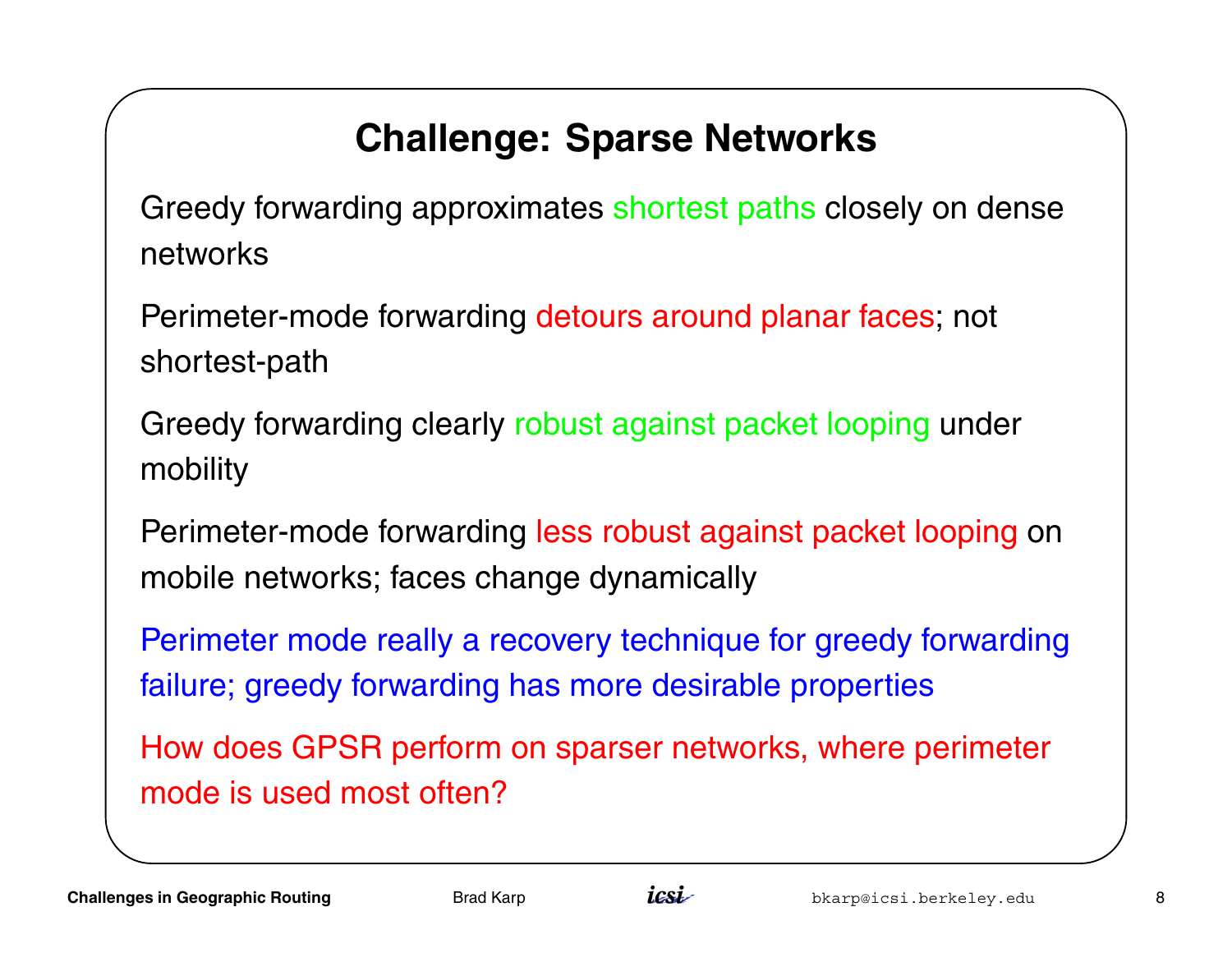## **Challenge: Sparse Networks**

Greedy forwarding approximates shortest paths closely on dense networks

Perimeter-mode forwarding detours around planar faces; not shortest-path

Greedy forwarding clearly robust against packet looping under mobility

Perimeter-mode forwarding less robust against packet looping on mobile networks; faces change dynamically

Perimeter mode really <sup>a</sup> recovery technique for greedy forwarding failure; greedy forwarding has more desirable properties

How does GPSR perform on sparser networks, where perimeter mode is used most often?

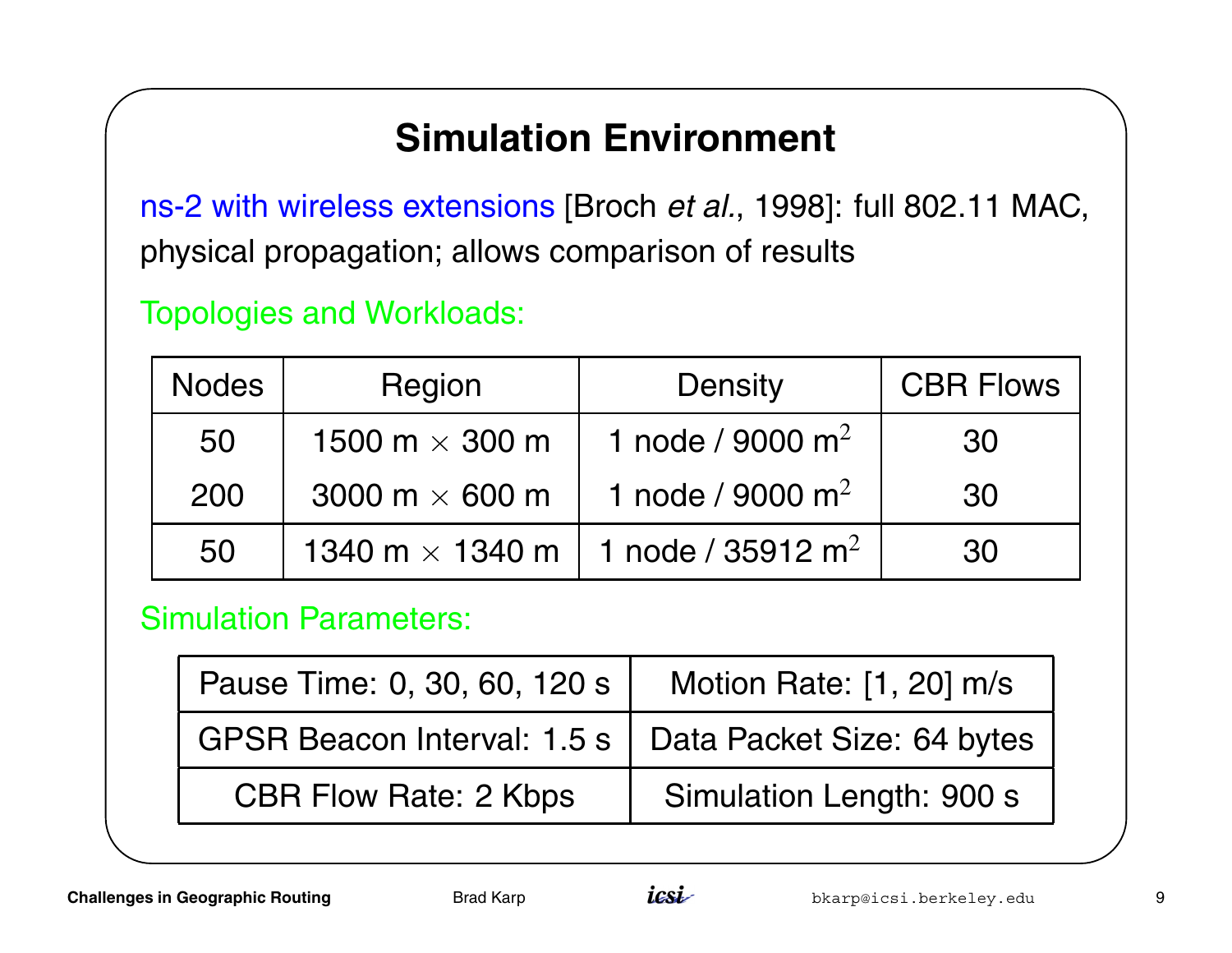### **Simulation Environment**

ns-2 with wireless extensions [Broch et al., 1998]: full 802.11 MAC, physical propagation; allows comparison of results

#### Topologies and Workloads:

| <b>Nodes</b> | Region                 | <b>Density</b>               | <b>CBR Flows</b> |
|--------------|------------------------|------------------------------|------------------|
| 50           | 1500 m $\times$ 300 m  | 1 node / 9000 m <sup>2</sup> | 30               |
| 200          | 3000 m $\times$ 600 m  | 1 node / 9000 m <sup>2</sup> | 30               |
| 50           | 1340 m $\times$ 1340 m | 1 node / 35912 $m^2$         | 30               |

#### Simulation Parameters:

| Pause Time: 0, 30, 60, 120 s                             | Motion Rate: [1, 20] m/s |  |
|----------------------------------------------------------|--------------------------|--|
| GPSR Beacon Interval: 1.5 s   Data Packet Size: 64 bytes |                          |  |
| <b>CBR Flow Rate: 2 Kbps</b>                             | Simulation Length: 900 s |  |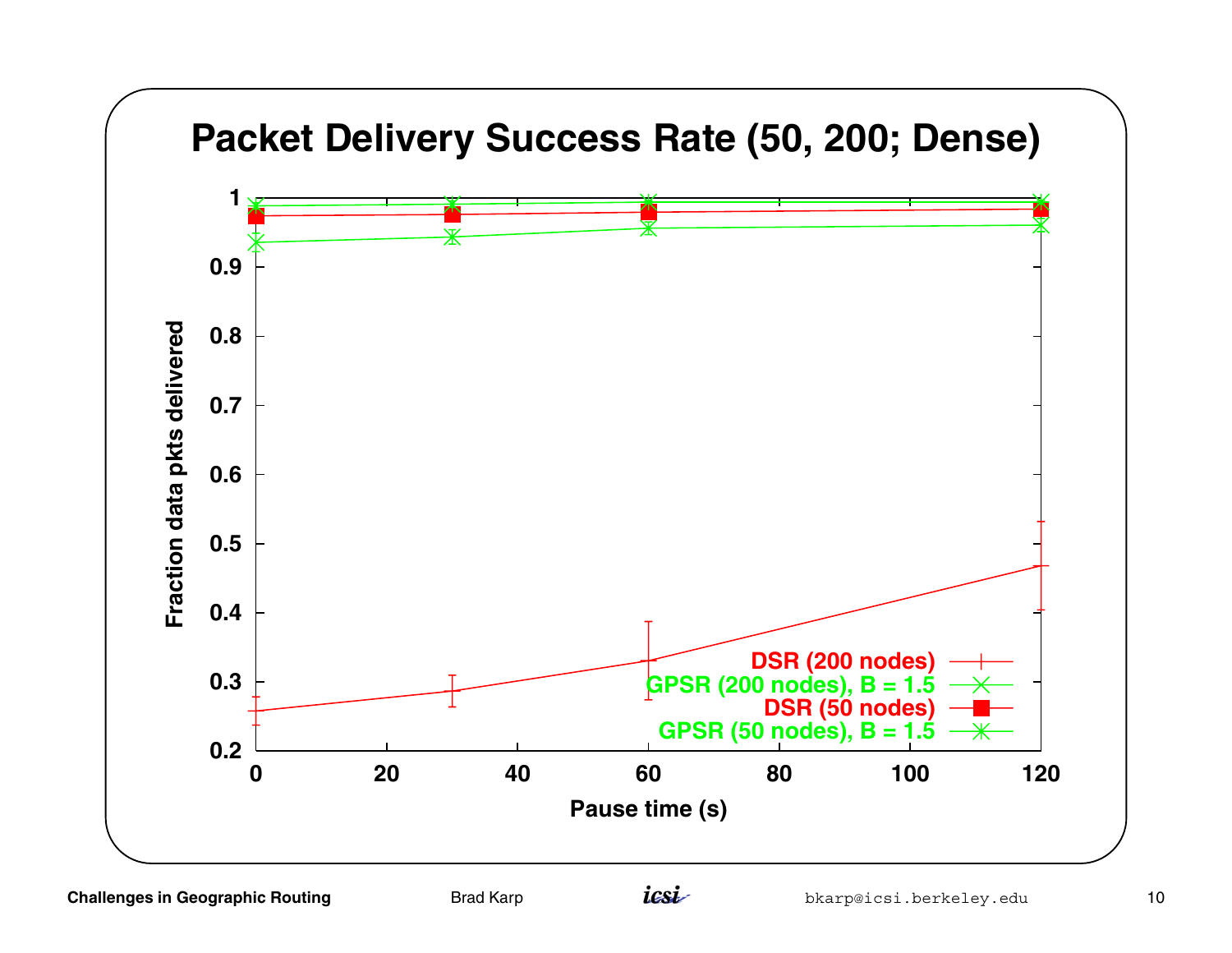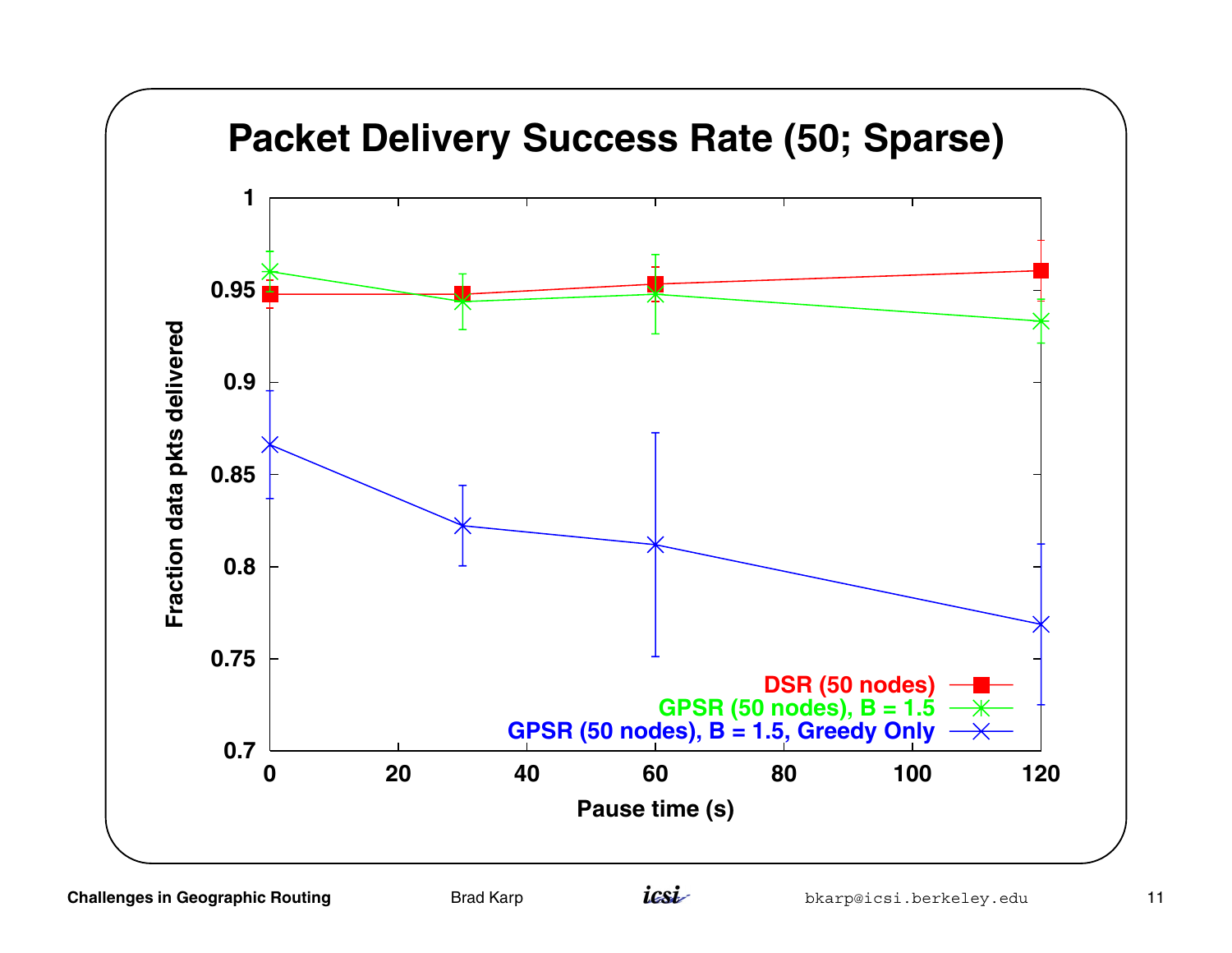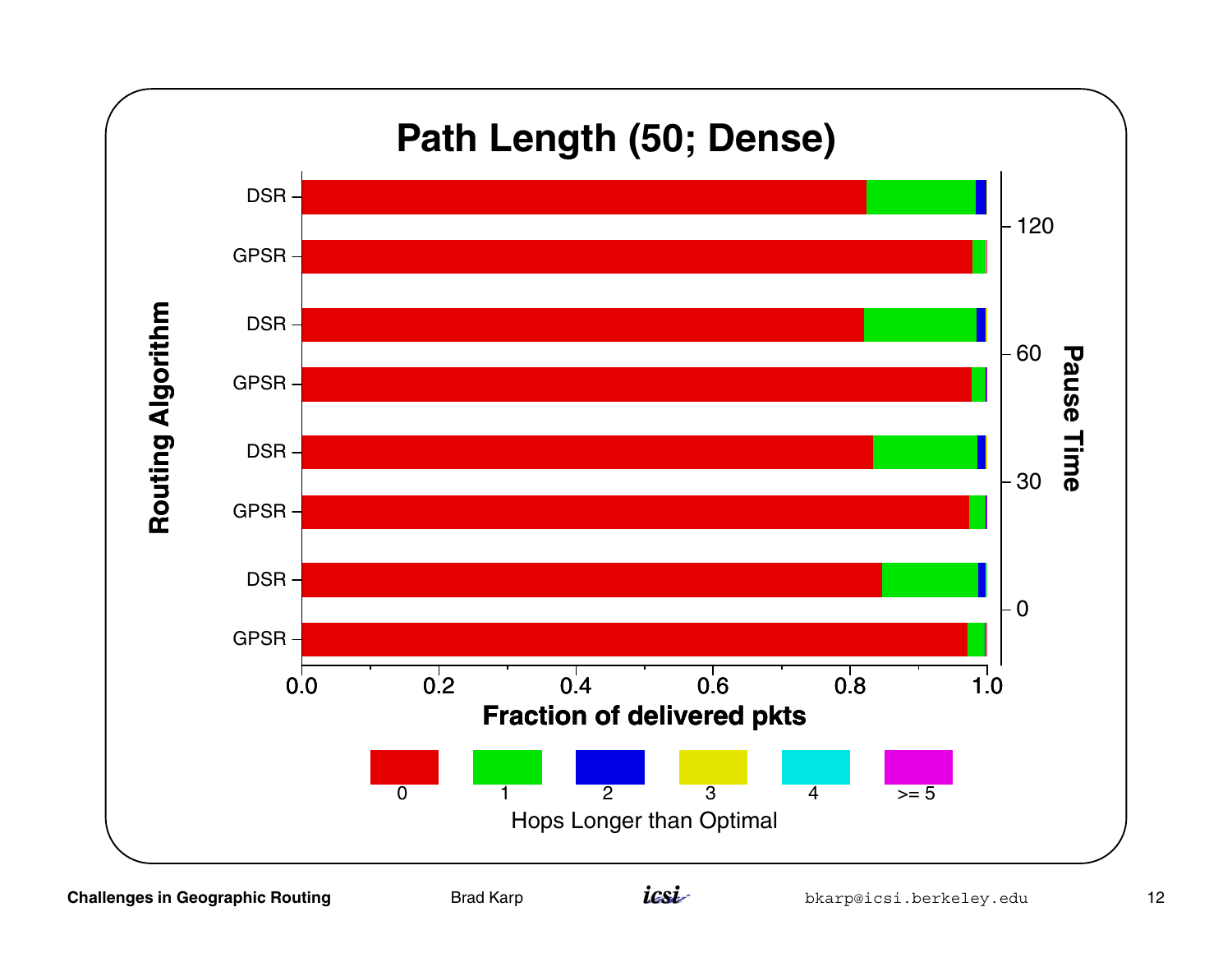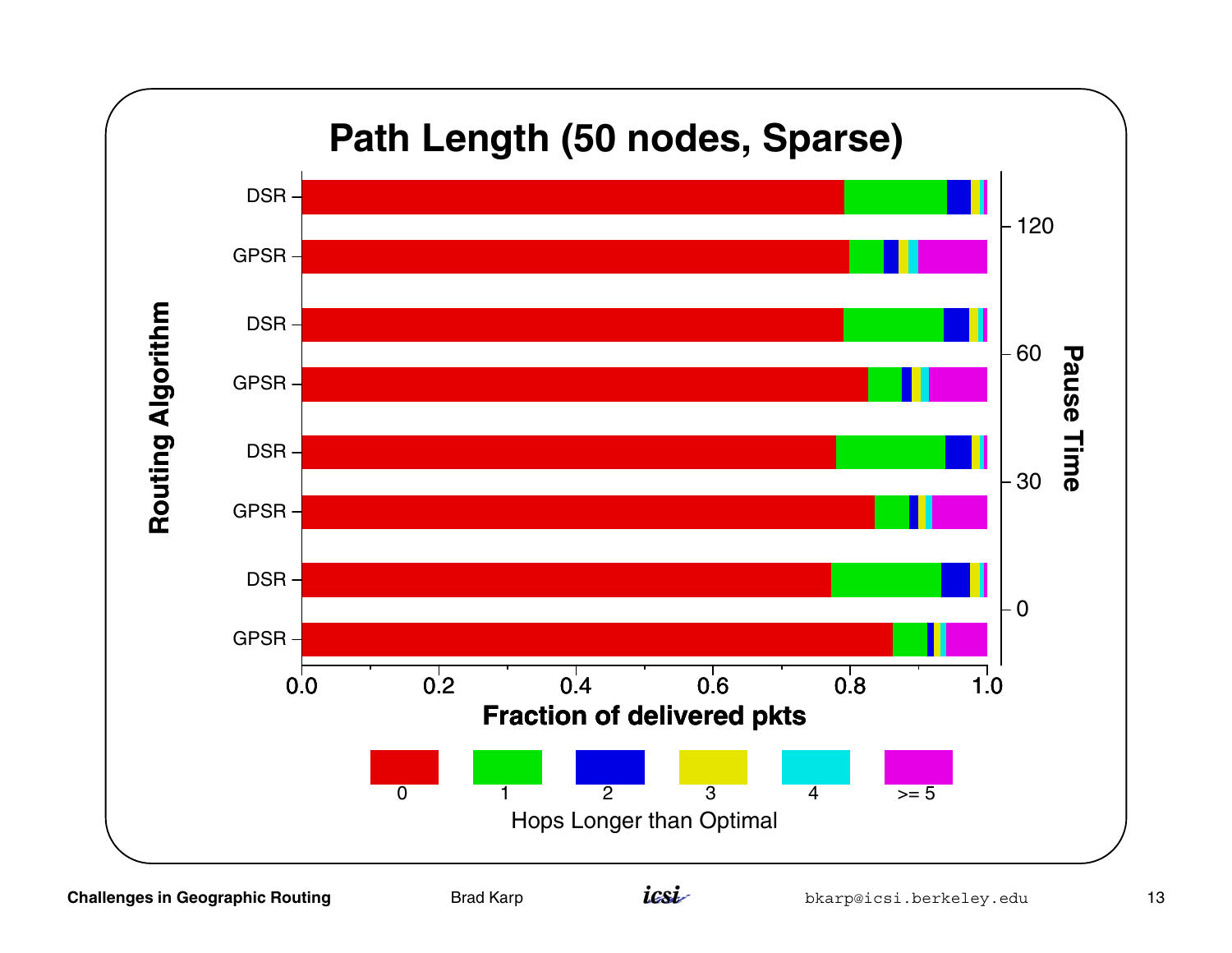

**Challenges in Geographic Routing <b>Example 2** Brad Karp **in the Signal Conduct Conduct** berkeley.edu 13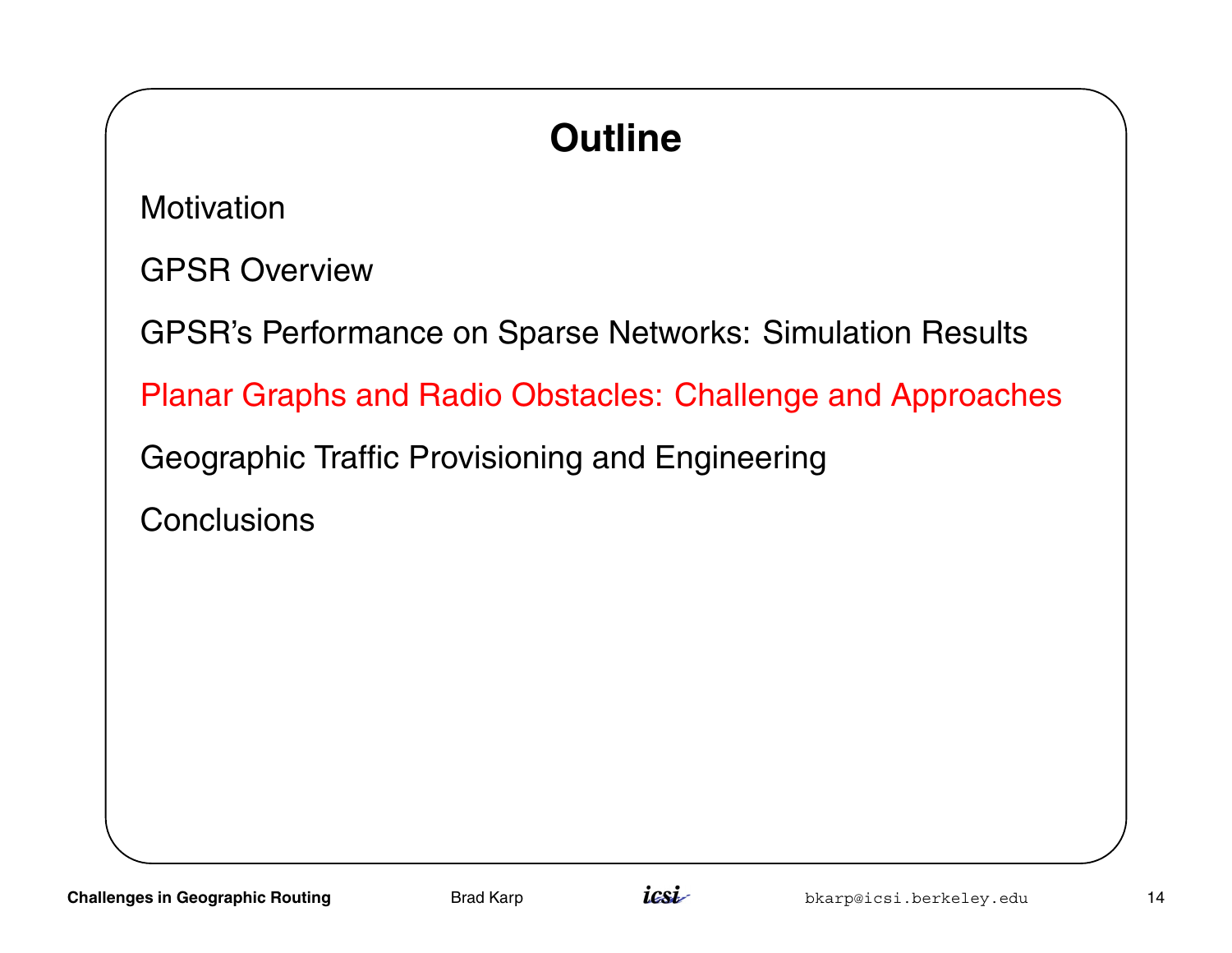# **Outline**

**Motivation** 

GPSR Overview

GPSR's Performance on Sparse Networks: Simulation Results

Planar Graphs and Radio Obstacles: Challenge and Approaches

Geographic Traffic Provisioning and Engineering

**Conclusions** 

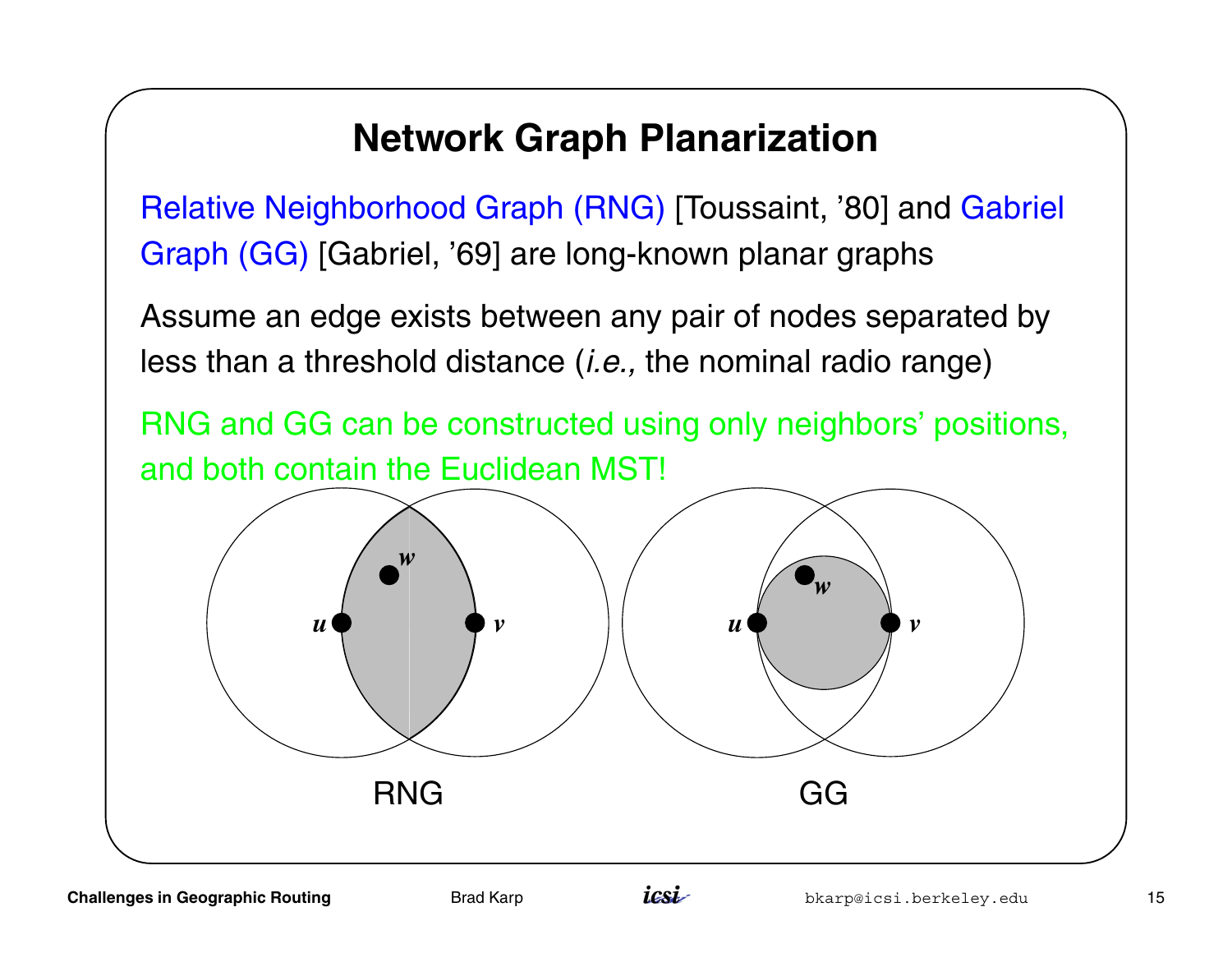### **Network Graph Planarization**

Relative Neighborhood Graph (RNG) [Toussaint, '80] and Gabriel Graph (GG) [Gabriel, '69] are long-known planar graphs

Assume an edge exists between any pair of nodes separated by less than a threshold distance *(i.e.,* the nominal radio range)

RNG and GG can be constructed using only neighbors' positions, and both contain the Euclidean MST!

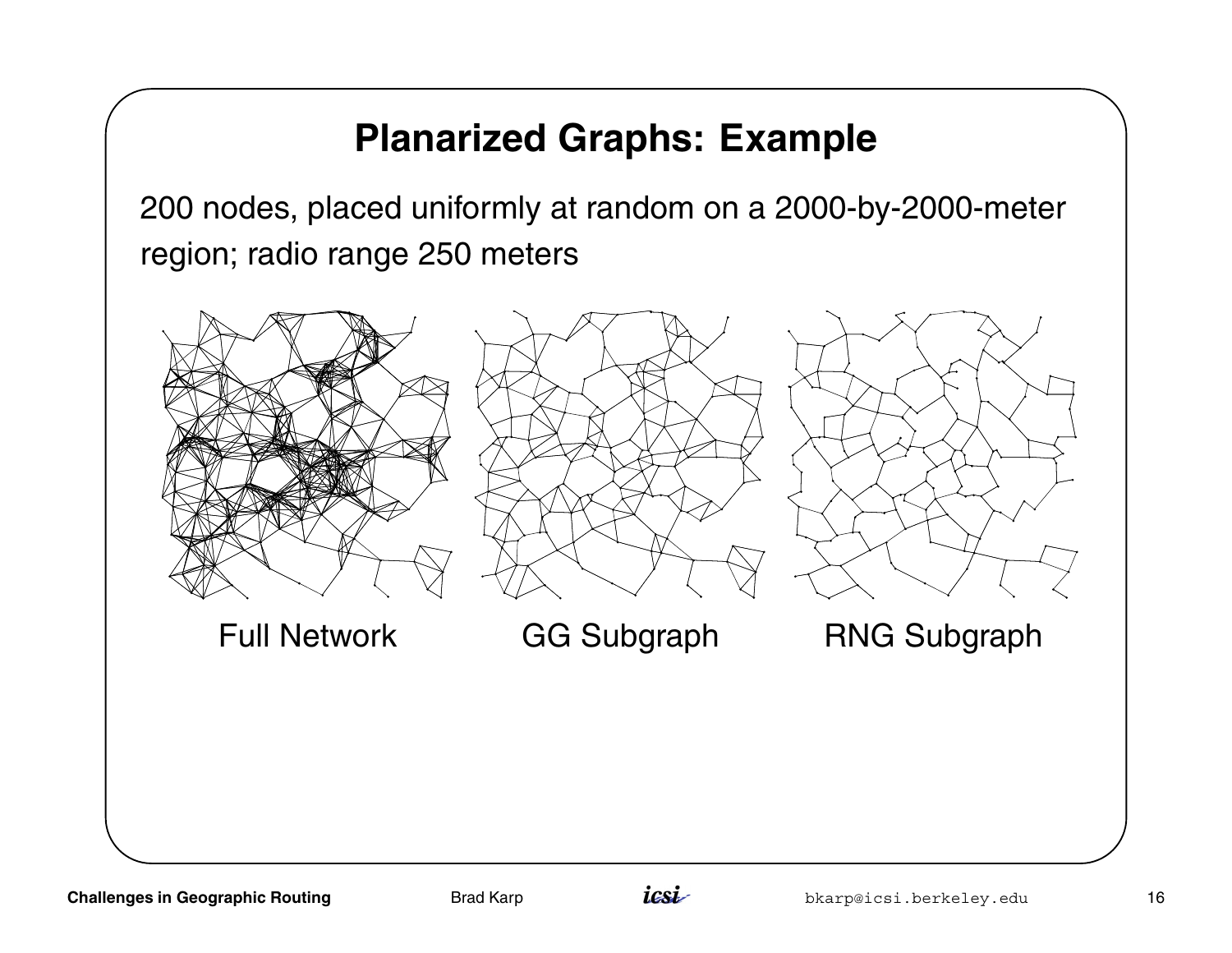### **Planarized Graphs: Example**

200 nodes, placed uniformly at random on <sup>a</sup> 2000-by-2000-meter region; radio range 250 meters



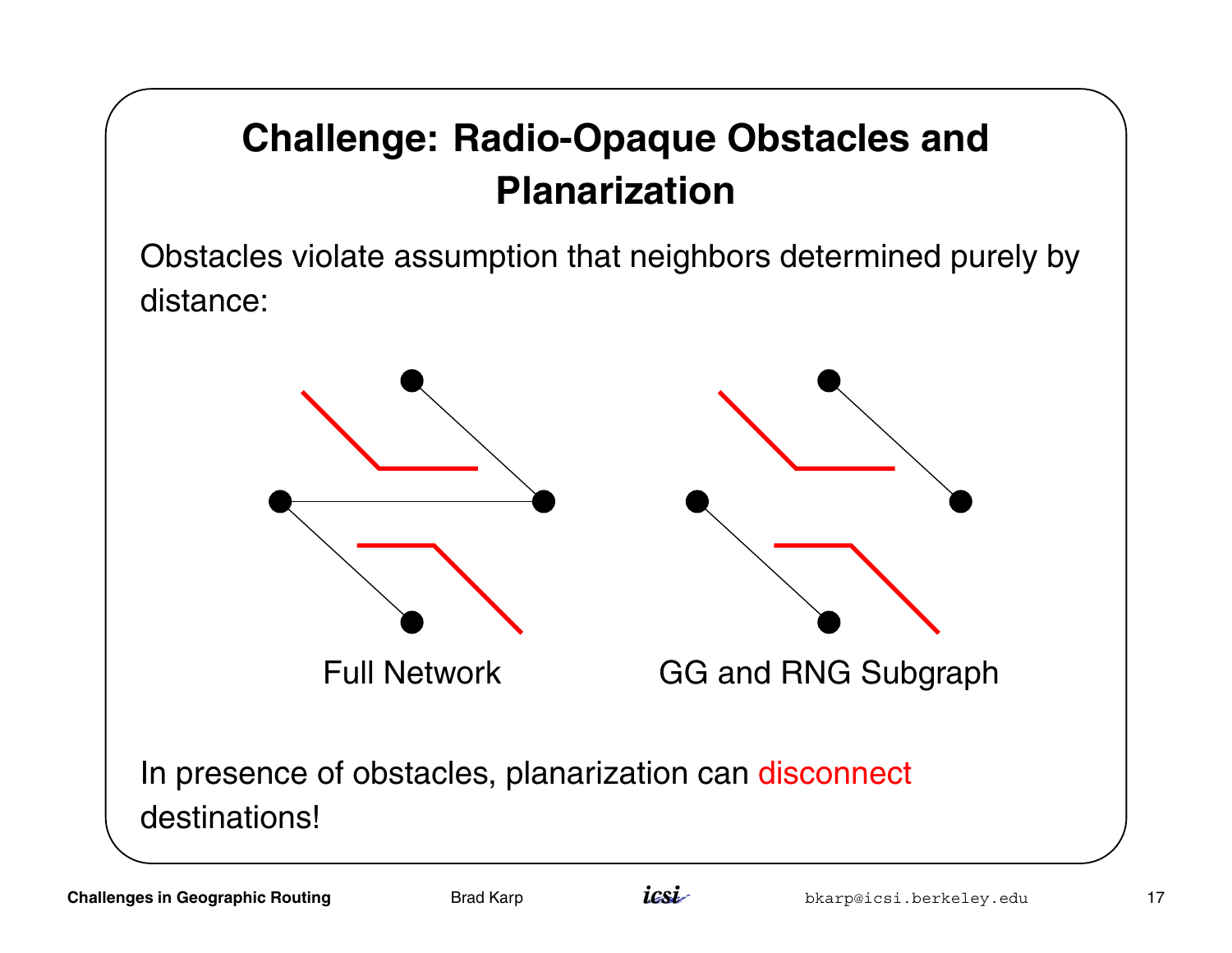## **Challenge: Radio-Opaque Obstacles and Planarization**

Obstacles violate assumption that neighbors determined purely by distance:



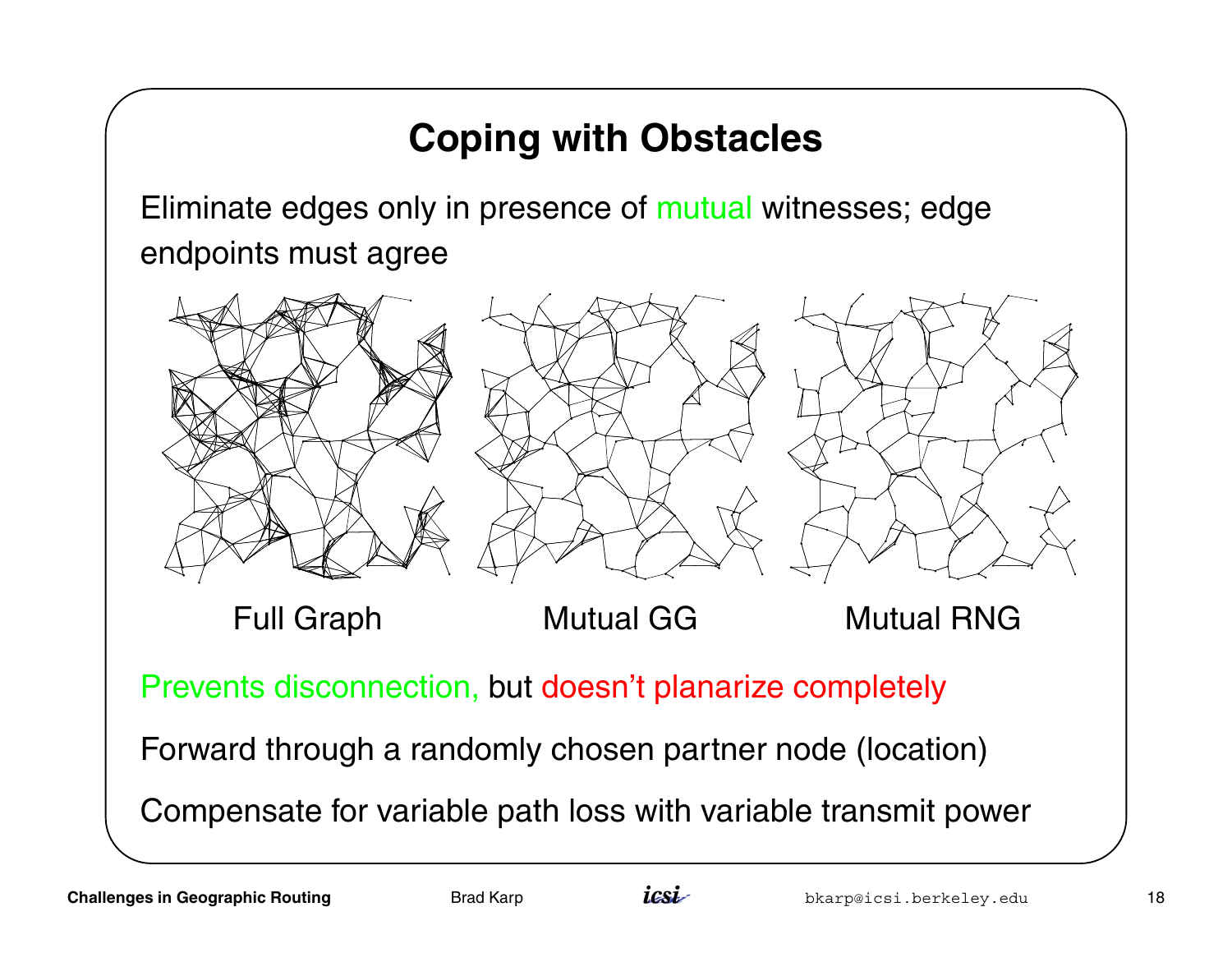## **Coping with Obstacles**

Eliminate edges only in presence of mutual witnesses; edge endpoints must agree



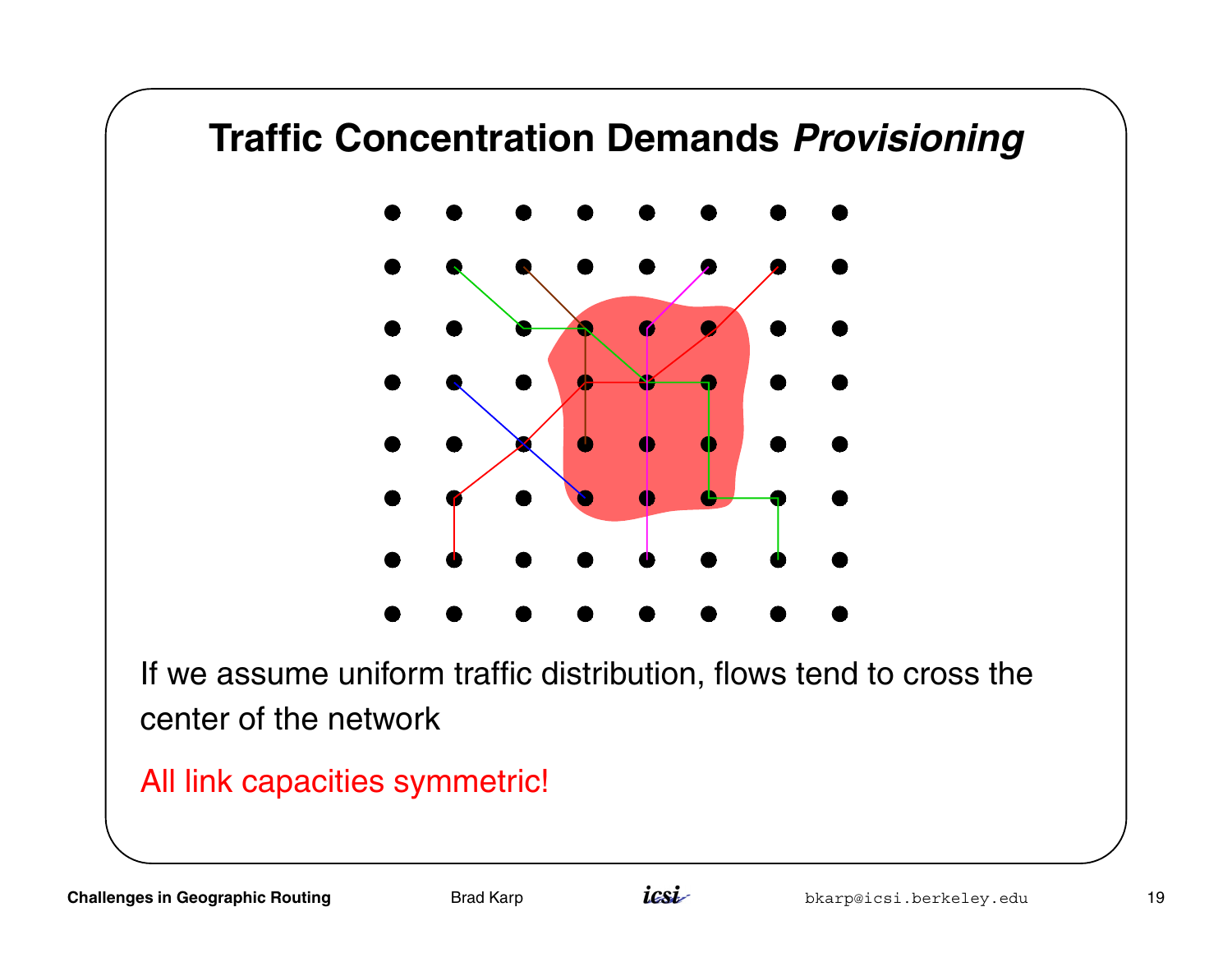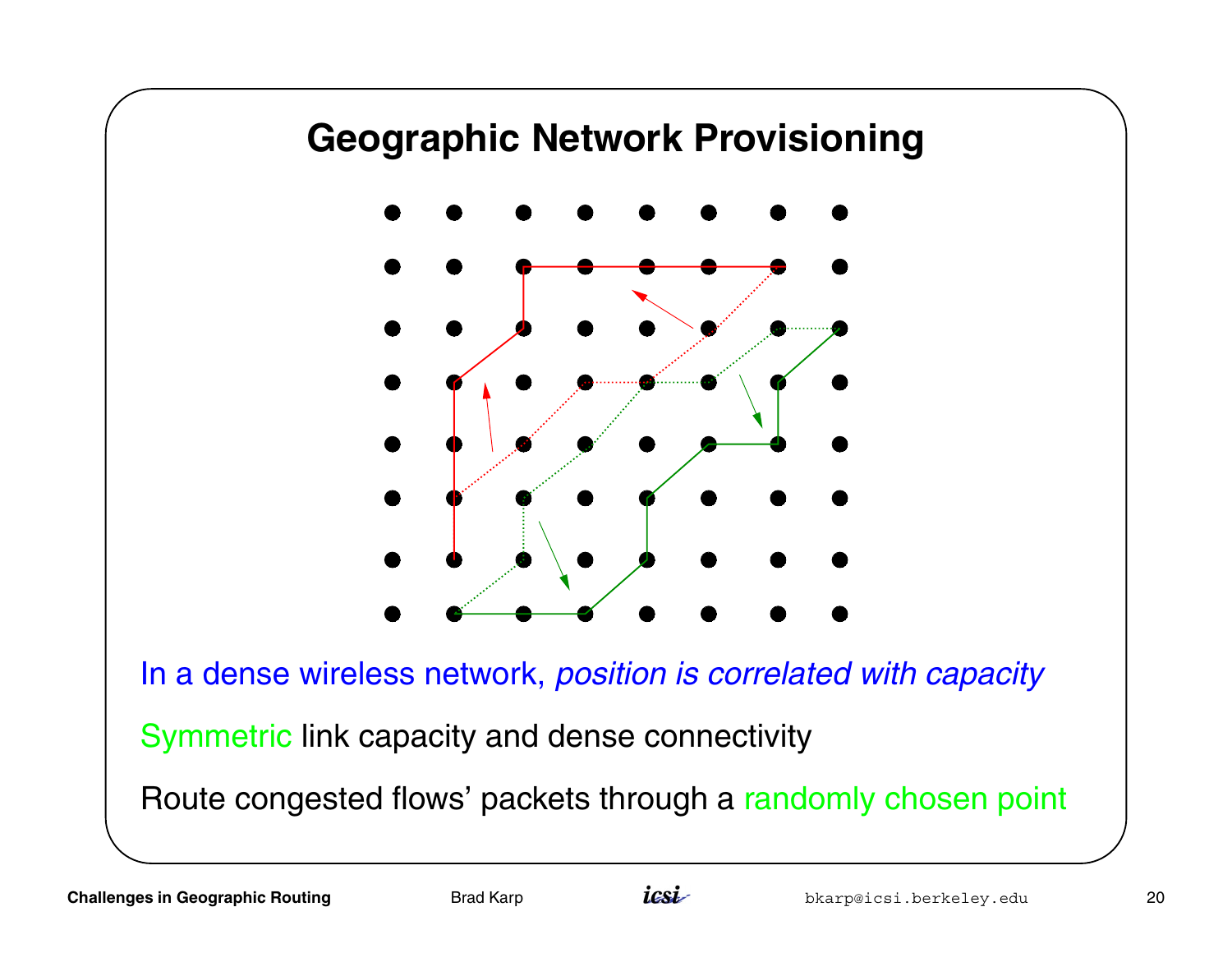